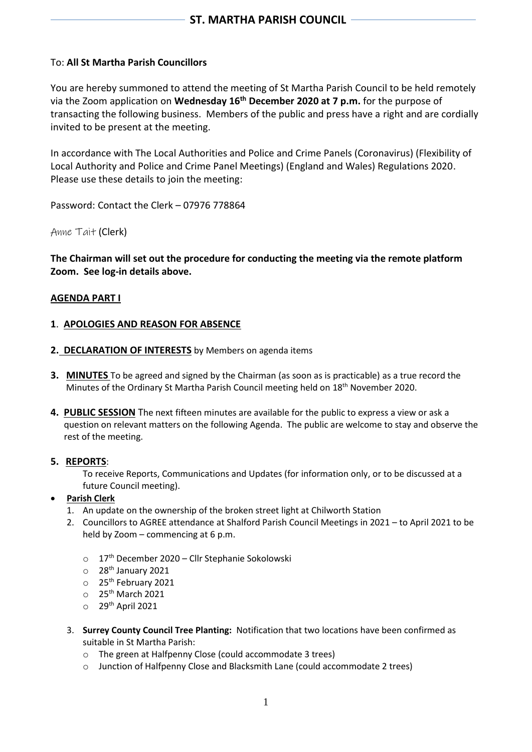# To: **All St Martha Parish Councillors**

You are hereby summoned to attend the meeting of St Martha Parish Council to be held remotely via the Zoom application on **Wednesday 16 th December 2020 at 7 p.m.** for the purpose of transacting the following business. Members of the public and press have a right and are cordially invited to be present at the meeting.

In accordance with The Local Authorities and Police and Crime Panels (Coronavirus) (Flexibility of Local Authority and Police and Crime Panel Meetings) (England and Wales) Regulations 2020. Please use these details to join the meeting:

Password: Contact the Clerk – 07976 778864

Anne Tait (Clerk)

**The Chairman will set out the procedure for conducting the meeting via the remote platform Zoom. See log-in details above.**

## **AGENDA PART I**

## **1**. **APOLOGIES AND REASON FOR ABSENCE**

- **2. DECLARATION OF INTERESTS** by Members on agenda items
- **3. MINUTES** To be agreed and signed by the Chairman (as soon as is practicable) as a true record the Minutes of the Ordinary St Martha Parish Council meeting held on 18<sup>th</sup> November 2020.
- **4. PUBLIC SESSION** The next fifteen minutes are available for the public to express a view or ask a question on relevant matters on the following Agenda. The public are welcome to stay and observe the rest of the meeting.

#### **5. REPORTS**:

To receive Reports, Communications and Updates (for information only, or to be discussed at a future Council meeting).

#### • **Parish Clerk**

- 1. An update on the ownership of the broken street light at Chilworth Station
- 2. Councillors to AGREE attendance at Shalford Parish Council Meetings in 2021 to April 2021 to be held by Zoom – commencing at 6 p.m.
	- o 17th December 2020 Cllr Stephanie Sokolowski
	- $\circ$  28<sup>th</sup> January 2021
	- o 25th February 2021
	- $\circ$  25<sup>th</sup> March 2021
	- $\circ$  29<sup>th</sup> April 2021
- 3. **Surrey County Council Tree Planting:** Notification that two locations have been confirmed as suitable in St Martha Parish:
	- o The green at Halfpenny Close (could accommodate 3 trees)
	- o Junction of Halfpenny Close and Blacksmith Lane (could accommodate 2 trees)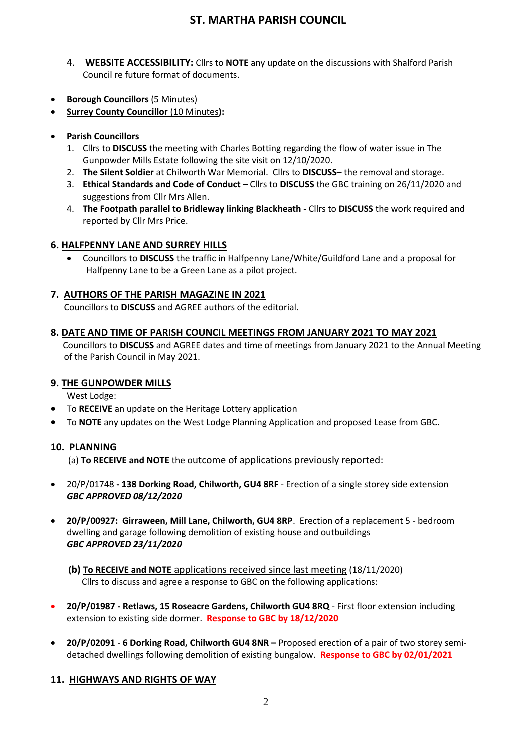- 4. **WEBSITE ACCESSIBILITY:** Cllrs to **NOTE** any update on the discussions with Shalford Parish Council re future format of documents.
- **Borough Councillors** (5 Minutes)
- **Surrey County Councillor** (10 Minutes**):**
- **Parish Councillors**
	- 1. Cllrs to **DISCUSS** the meeting with Charles Botting regarding the flow of water issue in The Gunpowder Mills Estate following the site visit on 12/10/2020.
	- 2. **The Silent Soldier** at Chilworth War Memorial. Cllrs to **DISCUSS** the removal and storage.
	- 3. **Ethical Standards and Code of Conduct –** Cllrs to **DISCUSS** the GBC training on 26/11/2020 and suggestions from Cllr Mrs Allen.
	- 4. **The Footpath parallel to Bridleway linking Blackheath -** Cllrs to **DISCUSS** the work required and reported by Cllr Mrs Price.

## **6. HALFPENNY LANE AND SURREY HILLS**

• Councillors to **DISCUSS** the traffic in Halfpenny Lane/White/Guildford Lane and a proposal for Halfpenny Lane to be a Green Lane as a pilot project.

## **7. AUTHORS OF THE PARISH MAGAZINE IN 2021**

Councillors to **DISCUSS** and AGREE authors of the editorial.

#### **8. DATE AND TIME OF PARISH COUNCIL MEETINGS FROM JANUARY 2021 TO MAY 2021**

Councillors to **DISCUSS** and AGREE dates and time of meetings from January 2021 to the Annual Meeting of the Parish Council in May 2021.

#### **9. THE GUNPOWDER MILLS**

West Lodge:

- To **RECEIVE** an update on the Heritage Lottery application
- To **NOTE** any updates on the West Lodge Planning Application and proposed Lease from GBC.

#### **10. PLANNING**

(a) **To RECEIVE and NOTE** the outcome of applications previously reported:

- 20/P/01748 **- 138 Dorking Road, Chilworth, GU4 8RF** Erection of a single storey side extension *GBC APPROVED 08/12/2020*
- **20/P/00927: Girraween, Mill Lane, Chilworth, GU4 8RP**. Erection of a replacement 5 bedroom dwelling and garage following demolition of existing house and outbuildings *GBC APPROVED 23/11/2020*
	- **(b) To RECEIVE and NOTE** applications received since last meeting (18/11/2020) Cllrs to discuss and agree a response to GBC on the following applications:
- **20/P/01987 - Retlaws, 15 Roseacre Gardens, Chilworth GU4 8RQ** First floor extension including extension to existing side dormer. **Response to GBC by 18/12/2020**
- **20/P/02091 6 Dorking Road, Chilworth GU4 8NR –** Proposed erection of a pair of two storey semidetached dwellings following demolition of existing bungalow. **Response to GBC by 02/01/2021**

#### **11. HIGHWAYS AND RIGHTS OF WAY**